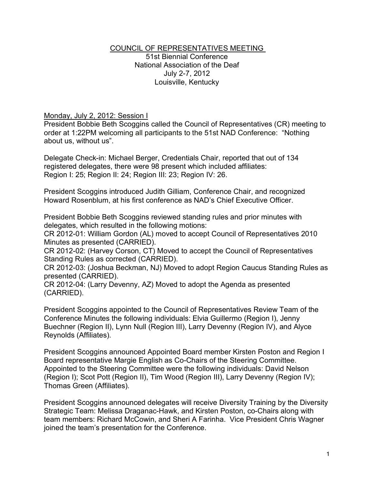#### COUNCIL OF REPRESENTATIVES MEETING 51st Biennial Conference

National Association of the Deaf July 2-7, 2012 Louisville, Kentucky

#### Monday, July 2, 2012: Session I

President Bobbie Beth Scoggins called the Council of Representatives (CR) meeting to order at 1:22PM welcoming all participants to the 51st NAD Conference: "Nothing about us, without us".

Delegate Check-in: Michael Berger, Credentials Chair, reported that out of 134 registered delegates, there were 98 present which included affiliates: Region I: 25; Region II: 24; Region III: 23; Region IV: 26.

President Scoggins introduced Judith Gilliam, Conference Chair, and recognized Howard Rosenblum, at his first conference as NAD's Chief Executive Officer.

President Bobbie Beth Scoggins reviewed standing rules and prior minutes with delegates, which resulted in the following motions:

CR 2012-01: William Gordon (AL) moved to accept Council of Representatives 2010 Minutes as presented (CARRIED).

CR 2012-02: (Harvey Corson, CT) Moved to accept the Council of Representatives Standing Rules as corrected (CARRIED).

CR 2012-03: (Joshua Beckman, NJ) Moved to adopt Region Caucus Standing Rules as presented (CARRIED).

CR 2012-04: (Larry Devenny, AZ) Moved to adopt the Agenda as presented (CARRIED).

President Scoggins appointed to the Council of Representatives Review Team of the Conference Minutes the following individuals: Elvia Guillermo (Region I), Jenny Buechner (Region II), Lynn Null (Region III), Larry Devenny (Region IV), and Alyce Reynolds (Affiliates).

President Scoggins announced Appointed Board member Kirsten Poston and Region I Board representative Margie English as Co-Chairs of the Steering Committee. Appointed to the Steering Committee were the following individuals: David Nelson (Region I); Scot Pott (Region II), Tim Wood (Region III), Larry Devenny (Region IV); Thomas Green (Affiliates).

President Scoggins announced delegates will receive Diversity Training by the Diversity Strategic Team: Melissa Draganac-Hawk, and Kirsten Poston, co-Chairs along with team members: Richard McCowin, and Sheri A Farinha. Vice President Chris Wagner joined the team's presentation for the Conference.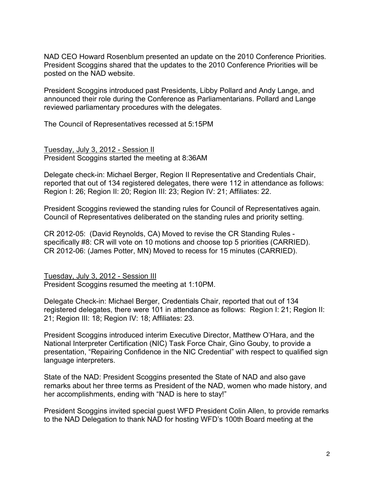NAD CEO Howard Rosenblum presented an update on the 2010 Conference Priorities. President Scoggins shared that the updates to the 2010 Conference Priorities will be posted on the NAD website.

President Scoggins introduced past Presidents, Libby Pollard and Andy Lange, and announced their role during the Conference as Parliamentarians. Pollard and Lange reviewed parliamentary procedures with the delegates.

The Council of Representatives recessed at 5:15PM

Tuesday, July 3, 2012 - Session II President Scoggins started the meeting at 8:36AM

Delegate check-in: Michael Berger, Region II Representative and Credentials Chair, reported that out of 134 registered delegates, there were 112 in attendance as follows: Region I: 26; Region II: 20; Region III: 23; Region IV: 21; Affiliates: 22.

President Scoggins reviewed the standing rules for Council of Representatives again. Council of Representatives deliberated on the standing rules and priority setting.

CR 2012-05: (David Reynolds, CA) Moved to revise the CR Standing Rules specifically #8: CR will vote on 10 motions and choose top 5 priorities (CARRIED). CR 2012-06: (James Potter, MN) Moved to recess for 15 minutes (CARRIED).

Tuesday, July 3, 2012 - Session III President Scoggins resumed the meeting at 1:10PM.

Delegate Check-in: Michael Berger, Credentials Chair, reported that out of 134 registered delegates, there were 101 in attendance as follows: Region I: 21; Region II: 21; Region III: 18; Region IV: 18; Affiliates: 23.

President Scoggins introduced interim Executive Director, Matthew O'Hara, and the National Interpreter Certification (NIC) Task Force Chair, Gino Gouby, to provide a presentation, "Repairing Confidence in the NIC Credential" with respect to qualified sign language interpreters.

State of the NAD: President Scoggins presented the State of NAD and also gave remarks about her three terms as President of the NAD, women who made history, and her accomplishments, ending with "NAD is here to stay!"

President Scoggins invited special guest WFD President Colin Allen, to provide remarks to the NAD Delegation to thank NAD for hosting WFD's 100th Board meeting at the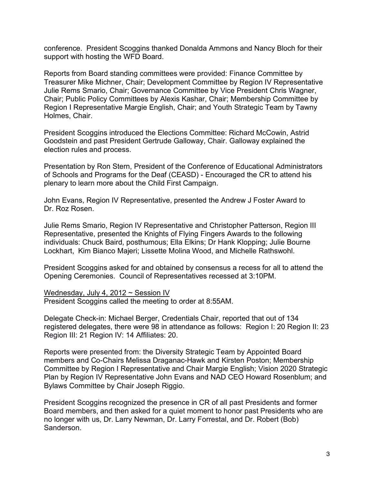conference. President Scoggins thanked Donalda Ammons and Nancy Bloch for their support with hosting the WFD Board.

Reports from Board standing committees were provided: Finance Committee by Treasurer Mike Michner, Chair; Development Committee by Region IV Representative Julie Rems Smario, Chair; Governance Committee by Vice President Chris Wagner, Chair; Public Policy Committees by Alexis Kashar, Chair; Membership Committee by Region I Representative Margie English, Chair; and Youth Strategic Team by Tawny Holmes, Chair.

President Scoggins introduced the Elections Committee: Richard McCowin, Astrid Goodstein and past President Gertrude Galloway, Chair. Galloway explained the election rules and process.

Presentation by Ron Stern, President of the Conference of Educational Administrators of Schools and Programs for the Deaf (CEASD) - Encouraged the CR to attend his plenary to learn more about the Child First Campaign.

John Evans, Region IV Representative, presented the Andrew J Foster Award to Dr. Roz Rosen.

Julie Rems Smario, Region IV Representative and Christopher Patterson, Region III Representative, presented the Knights of Flying Fingers Awards to the following individuals: Chuck Baird, posthumous; Ella Elkins; Dr Hank Klopping; Julie Bourne Lockhart, Kim Bianco Majeri; Lissette Molina Wood, and Michelle Rathswohl.

President Scoggins asked for and obtained by consensus a recess for all to attend the Opening Ceremonies. Council of Representatives recessed at 3:10PM.

#### Wednesday, July 4, 2012 ~ Session IV

President Scoggins called the meeting to order at 8:55AM.

Delegate Check-in: Michael Berger, Credentials Chair, reported that out of 134 registered delegates, there were 98 in attendance as follows: Region I: 20 Region II: 23 Region III: 21 Region IV: 14 Affiliates: 20.

Reports were presented from: the Diversity Strategic Team by Appointed Board members and Co-Chairs Melissa Draganac-Hawk and Kirsten Poston; Membership Committee by Region I Representative and Chair Margie English; Vision 2020 Strategic Plan by Region IV Representative John Evans and NAD CEO Howard Rosenblum; and Bylaws Committee by Chair Joseph Riggio.

President Scoggins recognized the presence in CR of all past Presidents and former Board members, and then asked for a quiet moment to honor past Presidents who are no longer with us, Dr. Larry Newman, Dr. Larry Forrestal, and Dr. Robert (Bob) Sanderson.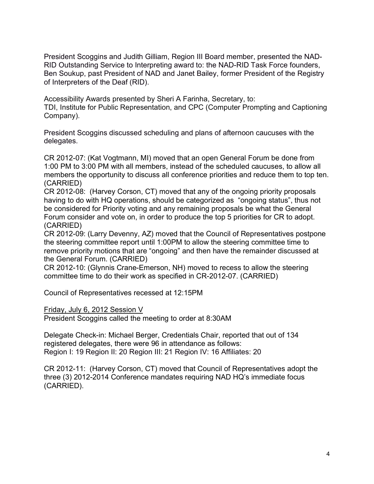President Scoggins and Judith Gilliam, Region III Board member, presented the NAD-RID Outstanding Service to Interpreting award to: the NAD-RID Task Force founders, Ben Soukup, past President of NAD and Janet Bailey, former President of the Registry of Interpreters of the Deaf (RID).

Accessibility Awards presented by Sheri A Farinha, Secretary, to: TDI, Institute for Public Representation, and CPC (Computer Prompting and Captioning Company).

President Scoggins discussed scheduling and plans of afternoon caucuses with the delegates.

CR 2012-07: (Kat Vogtmann, MI) moved that an open General Forum be done from 1:00 PM to 3:00 PM with all members, instead of the scheduled caucuses, to allow all members the opportunity to discuss all conference priorities and reduce them to top ten. (CARRIED)

CR 2012-08: (Harvey Corson, CT) moved that any of the ongoing priority proposals having to do with HQ operations, should be categorized as "ongoing status", thus not be considered for Priority voting and any remaining proposals be what the General Forum consider and vote on, in order to produce the top 5 priorities for CR to adopt. (CARRIED)

CR 2012-09: (Larry Devenny, AZ) moved that the Council of Representatives postpone the steering committee report until 1:00PM to allow the steering committee time to remove priority motions that are "ongoing" and then have the remainder discussed at the General Forum. (CARRIED)

CR 2012-10: (Glynnis Crane-Emerson, NH) moved to recess to allow the steering committee time to do their work as specified in CR-2012-07. (CARRIED)

Council of Representatives recessed at 12:15PM

Friday, July 6, 2012 Session V

President Scoggins called the meeting to order at 8:30AM

Delegate Check-in: Michael Berger, Credentials Chair, reported that out of 134 registered delegates, there were 96 in attendance as follows: Region I: 19 Region II: 20 Region III: 21 Region IV: 16 Affiliates: 20

CR 2012-11: (Harvey Corson, CT) moved that Council of Representatives adopt the three (3) 2012-2014 Conference mandates requiring NAD HQ's immediate focus (CARRIED).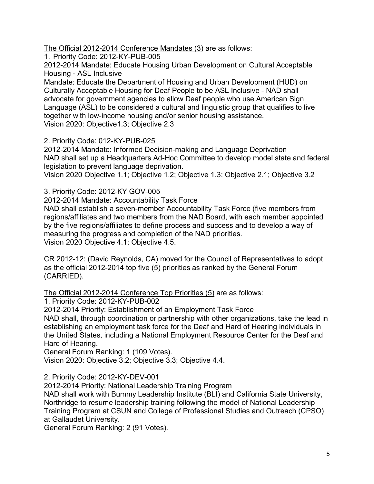The Official 2012-2014 Conference Mandates (3) are as follows:

1. Priority Code: 2012-KY-PUB-005

2012-2014 Mandate: Educate Housing Urban Development on Cultural Acceptable Housing - ASL Inclusive

Mandate: Educate the Department of Housing and Urban Development (HUD) on Culturally Acceptable Housing for Deaf People to be ASL Inclusive - NAD shall advocate for government agencies to allow Deaf people who use American Sign Language (ASL) to be considered a cultural and linguistic group that qualifies to live together with low-income housing and/or senior housing assistance. Vision 2020: Objective1.3; Objective 2.3

2. Priority Code: 012-KY-PUB-025

2012-2014 Mandate: Informed Decision-making and Language Deprivation NAD shall set up a Headquarters Ad-Hoc Committee to develop model state and federal legislation to prevent language deprivation.

Vision 2020 Objective 1.1; Objective 1.2; Objective 1.3; Objective 2.1; Objective 3.2

3. Priority Code: 2012-KY GOV-005

2012-2014 Mandate: Accountability Task Force

NAD shall establish a seven-member Accountability Task Force (five members from regions/affiliates and two members from the NAD Board, with each member appointed by the five regions/affiliates to define process and success and to develop a way of measuring the progress and completion of the NAD priorities. Vision 2020 Objective 4.1; Objective 4.5.

CR 2012-12: (David Reynolds, CA) moved for the Council of Representatives to adopt as the official 2012-2014 top five (5) priorities as ranked by the General Forum (CARRIED).

The Official 2012-2014 Conference Top Priorities (5) are as follows:

1. Priority Code: 2012-KY-PUB-002

2012-2014 Priority: Establishment of an Employment Task Force

NAD shall, through coordination or partnership with other organizations, take the lead in establishing an employment task force for the Deaf and Hard of Hearing individuals in the United States, including a National Employment Resource Center for the Deaf and Hard of Hearing.

General Forum Ranking: 1 (109 Votes).

Vision 2020: Objective 3.2; Objective 3.3; Objective 4.4.

2. Priority Code: 2012-KY-DEV-001

2012-2014 Priority: National Leadership Training Program

NAD shall work with Bummy Leadership Institute (BLI) and California State University, Northridge to resume leadership training following the model of National Leadership Training Program at CSUN and College of Professional Studies and Outreach (CPSO) at Gallaudet University.

General Forum Ranking: 2 (91 Votes).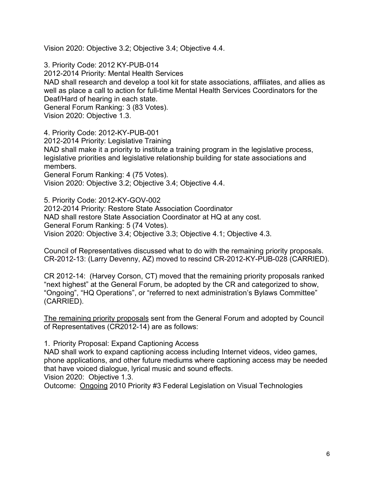Vision 2020: Objective 3.2; Objective 3.4; Objective 4.4.

3. Priority Code: 2012 KY-PUB-014 2012-2014 Priority: Mental Health Services NAD shall research and develop a tool kit for state associations, affiliates, and allies as well as place a call to action for full-time Mental Health Services Coordinators for the Deaf/Hard of hearing in each state. General Forum Ranking: 3 (83 Votes). Vision 2020: Objective 1.3.

4. Priority Code: 2012-KY-PUB-001 2012-2014 Priority: Legislative Training NAD shall make it a priority to institute a training program in the legislative process, legislative priorities and legislative relationship building for state associations and members. General Forum Ranking: 4 (75 Votes). Vision 2020: Objective 3.2; Objective 3.4; Objective 4.4.

5. Priority Code: 2012-KY-GOV-002 2012-2014 Priority: Restore State Association Coordinator NAD shall restore State Association Coordinator at HQ at any cost. General Forum Ranking: 5 (74 Votes). Vision 2020: Objective 3.4; Objective 3.3; Objective 4.1; Objective 4.3.

Council of Representatives discussed what to do with the remaining priority proposals. CR-2012-13: (Larry Devenny, AZ) moved to rescind CR-2012-KY-PUB-028 (CARRIED).

CR 2012-14: (Harvey Corson, CT) moved that the remaining priority proposals ranked "next highest" at the General Forum, be adopted by the CR and categorized to show, "Ongoing", "HQ Operations", or "referred to next administration's Bylaws Committee" (CARRIED).

The remaining priority proposals sent from the General Forum and adopted by Council of Representatives (CR2012-14) are as follows:

1. Priority Proposal: Expand Captioning Access

NAD shall work to expand captioning access including Internet videos, video games, phone applications, and other future mediums where captioning access may be needed that have voiced dialogue, lyrical music and sound effects.

Vision 2020: Objective 1.3.

Outcome: Ongoing 2010 Priority #3 Federal Legislation on Visual Technologies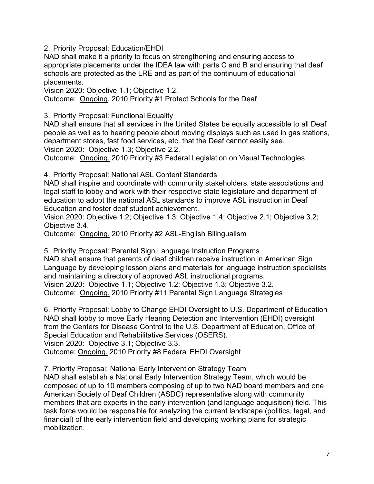2. Priority Proposal: Education/EHDI

NAD shall make it a priority to focus on strengthening and ensuring access to appropriate placements under the IDEA law with parts C and B and ensuring that deaf schools are protected as the LRE and as part of the continuum of educational placements.

Vision 2020: Objective 1.1; Objective 1.2.

Outcome: Ongoing. 2010 Priority #1 Protect Schools for the Deaf

3. Priority Proposal: Functional Equality

NAD shall ensure that all services in the United States be equally accessible to all Deaf people as well as to hearing people about moving displays such as used in gas stations, department stores, fast food services, etc. that the Deaf cannot easily see. Vision 2020: Objective 1.3; Objective 2.2.

Outcome: Ongoing. 2010 Priority #3 Federal Legislation on Visual Technologies

4. Priority Proposal: National ASL Content Standards

NAD shall inspire and coordinate with community stakeholders, state associations and legal staff to lobby and work with their respective state legislature and department of education to adopt the national ASL standards to improve ASL instruction in Deaf Education and foster deaf student achievement.

Vision 2020: Objective 1.2; Objective 1.3; Objective 1.4; Objective 2.1; Objective 3.2; Objective 3.4.

Outcome: Ongoing. 2010 Priority #2 ASL-English Bilingualism

5. Priority Proposal: Parental Sign Language Instruction Programs NAD shall ensure that parents of deaf children receive instruction in American Sign Language by developing lesson plans and materials for language instruction specialists and maintaining a directory of approved ASL instructional programs. Vision 2020: Objective 1.1; Objective 1.2; Objective 1.3; Objective 3.2. Outcome: Ongoing. 2010 Priority #11 Parental Sign Language Strategies

6. Priority Proposal: Lobby to Change EHDI Oversight to U.S. Department of Education NAD shall lobby to move Early Hearing Detection and Intervention (EHDI) oversight from the Centers for Disease Control to the U.S. Department of Education, Office of Special Education and Rehabilitative Services (OSERS).

Vision 2020: Objective 3.1; Objective 3.3.

Outcome: Ongoing. 2010 Priority #8 Federal EHDI Oversight

7. Priority Proposal: National Early Intervention Strategy Team

NAD shall establish a National Early Intervention Strategy Team, which would be composed of up to 10 members composing of up to two NAD board members and one American Society of Deaf Children (ASDC) representative along with community members that are experts in the early intervention (and language acquisition) field. This task force would be responsible for analyzing the current landscape (politics, legal, and financial) of the early intervention field and developing working plans for strategic mobilization.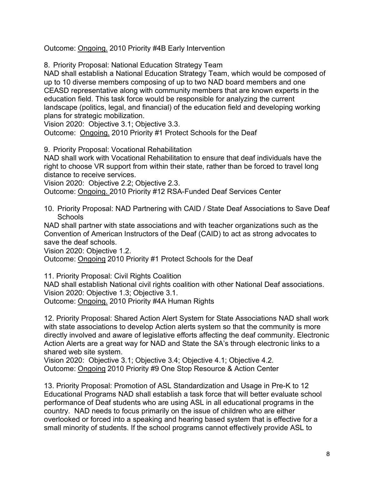Outcome: Ongoing. 2010 Priority #4B Early Intervention

8. Priority Proposal: National Education Strategy Team

NAD shall establish a National Education Strategy Team, which would be composed of up to 10 diverse members composing of up to two NAD board members and one CEASD representative along with community members that are known experts in the education field. This task force would be responsible for analyzing the current landscape (politics, legal, and financial) of the education field and developing working plans for strategic mobilization.

Vision 2020: Objective 3.1; Objective 3.3.

Outcome: Ongoing. 2010 Priority #1 Protect Schools for the Deaf

9. Priority Proposal: Vocational Rehabilitation

NAD shall work with Vocational Rehabilitation to ensure that deaf individuals have the right to choose VR support from within their state, rather than be forced to travel long distance to receive services.

Vision 2020: Objective 2.2; Objective 2.3.

Outcome: Ongoing. 2010 Priority #12 RSA-Funded Deaf Services Center

10. Priority Proposal: NAD Partnering with CAID / State Deaf Associations to Save Deaf Schools

NAD shall partner with state associations and with teacher organizations such as the Convention of American Instructors of the Deaf (CAID) to act as strong advocates to save the deaf schools.

Vision 2020: Objective 1.2.

Outcome: Ongoing 2010 Priority #1 Protect Schools for the Deaf

11. Priority Proposal: Civil Rights Coalition

NAD shall establish National civil rights coalition with other National Deaf associations. Vision 2020: Objective 1.3; Objective 3.1.

Outcome: Ongoing. 2010 Priority #4A Human Rights

12. Priority Proposal: Shared Action Alert System for State Associations NAD shall work with state associations to develop Action alerts system so that the community is more directly involved and aware of legislative efforts affecting the deaf community. Electronic Action Alerts are a great way for NAD and State the SA's through electronic links to a shared web site system.

Vision 2020: Objective 3.1; Objective 3.4; Objective 4.1; Objective 4.2. Outcome: Ongoing 2010 Priority #9 One Stop Resource & Action Center

13. Priority Proposal: Promotion of ASL Standardization and Usage in Pre-K to 12 Educational Programs NAD shall establish a task force that will better evaluate school performance of Deaf students who are using ASL in all educational programs in the country. NAD needs to focus primarily on the issue of children who are either overlooked or forced into a speaking and hearing based system that is effective for a small minority of students. If the school programs cannot effectively provide ASL to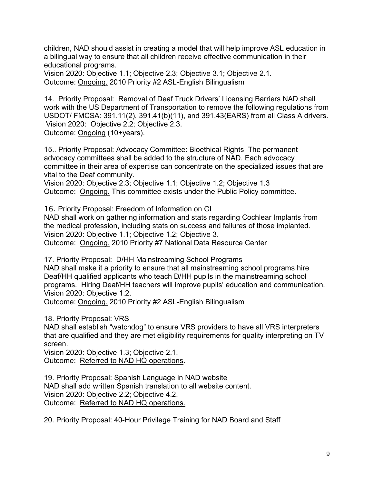children, NAD should assist in creating a model that will help improve ASL education in a bilingual way to ensure that all children receive effective communication in their educational programs.

Vision 2020: Objective 1.1; Objective 2.3; Objective 3.1; Objective 2.1. Outcome: Ongoing. 2010 Priority #2 ASL-English Bilingualism

14. Priority Proposal: Removal of Deaf Truck Drivers' Licensing Barriers NAD shall work with the US Department of Transportation to remove the following regulations from USDOT/ FMCSA: 391.11(2), 391.41(b)(11), and 391.43(EARS) from all Class A drivers. Vision 2020: Objective 2.2; Objective 2.3. Outcome: Ongoing (10+years).

15.. Priority Proposal: Advocacy Committee: Bioethical Rights The permanent advocacy committees shall be added to the structure of NAD. Each advocacy committee in their area of expertise can concentrate on the specialized issues that are vital to the Deaf community.

Vision 2020: Objective 2.3; Objective 1.1; Objective 1.2; Objective 1.3 Outcome: Ongoing. This committee exists under the Public Policy committee.

16. Priority Proposal: Freedom of Information on CI NAD shall work on gathering information and stats regarding Cochlear Implants from the medical profession, including stats on success and failures of those implanted. Vision 2020: Objective 1.1; Objective 1.2; Objective 3. Outcome: Ongoing. 2010 Priority #7 National Data Resource Center

17. Priority Proposal: D/HH Mainstreaming School Programs NAD shall make it a priority to ensure that all mainstreaming school programs hire Deaf/HH qualified applicants who teach D/HH pupils in the mainstreaming school programs. Hiring Deaf/HH teachers will improve pupils' education and communication. Vision 2020: Objective 1.2.

Outcome: Ongoing. 2010 Priority #2 ASL-English Bilingualism

18. Priority Proposal: VRS

NAD shall establish "watchdog" to ensure VRS providers to have all VRS interpreters that are qualified and they are met eligibility requirements for quality interpreting on TV screen.

Vision 2020: Objective 1.3; Objective 2.1. Outcome: Referred to NAD HQ operations.

19. Priority Proposal: Spanish Language in NAD website NAD shall add written Spanish translation to all website content. Vision 2020: Objective 2.2; Objective 4.2. Outcome: Referred to NAD HQ operations.

20. Priority Proposal: 40-Hour Privilege Training for NAD Board and Staff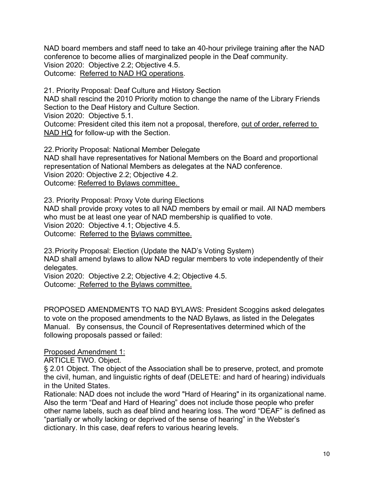NAD board members and staff need to take an 40-hour privilege training after the NAD conference to become allies of marginalized people in the Deaf community. Vision 2020: Objective 2.2; Objective 4.5. Outcome: Referred to NAD HQ operations.

21. Priority Proposal: Deaf Culture and History Section NAD shall rescind the 2010 Priority motion to change the name of the Library Friends Section to the Deaf History and Culture Section.

Vision 2020: Objective 5.1.

Outcome: President cited this item not a proposal, therefore, out of order, referred to NAD HQ for follow-up with the Section.

22.Priority Proposal: National Member Delegate NAD shall have representatives for National Members on the Board and proportional representation of National Members as delegates at the NAD conference. Vision 2020: Objective 2.2; Objective 4.2. Outcome: Referred to Bylaws committee.

23. Priority Proposal: Proxy Vote during Elections

NAD shall provide proxy votes to all NAD members by email or mail. All NAD members who must be at least one year of NAD membership is qualified to vote. Vision 2020: Objective 4.1; Objective 4.5. Outcome: Referred to the Bylaws committee.

23.Priority Proposal: Election (Update the NAD's Voting System) NAD shall amend bylaws to allow NAD regular members to vote independently of their delegates.

Vision 2020: Objective 2.2; Objective 4.2; Objective 4.5. Outcome: Referred to the Bylaws committee.

PROPOSED AMENDMENTS TO NAD BYLAWS: President Scoggins asked delegates to vote on the proposed amendments to the NAD Bylaws, as listed in the Delegates Manual. By consensus, the Council of Representatives determined which of the following proposals passed or failed:

Proposed Amendment 1:

ARTICLE TWO. Object.

§ 2.01 Object. The object of the Association shall be to preserve, protect, and promote the civil, human, and linguistic rights of deaf (DELETE: and hard of hearing) individuals in the United States.

Rationale: NAD does not include the word "Hard of Hearing" in its organizational name. Also the term "Deaf and Hard of Hearing" does not include those people who prefer other name labels, such as deaf blind and hearing loss. The word "DEAF" is defined as "partially or wholly lacking or deprived of the sense of hearing" in the Webster's dictionary. In this case, deaf refers to various hearing levels.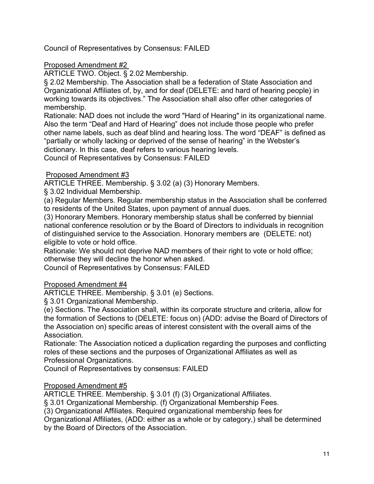Council of Representatives by Consensus: FAILED

## Proposed Amendment #2

ARTICLE TWO. Object. § 2.02 Membership.

§ 2.02 Membership. The Association shall be a federation of State Association and Organizational Affiliates of, by, and for deaf (DELETE: and hard of hearing people) in working towards its objectives." The Association shall also offer other categories of membership.

Rationale: NAD does not include the word "Hard of Hearing" in its organizational name. Also the term "Deaf and Hard of Hearing" does not include those people who prefer other name labels, such as deaf blind and hearing loss. The word "DEAF" is defined as "partially or wholly lacking or deprived of the sense of hearing" in the Webster's dictionary. In this case, deaf refers to various hearing levels.

Council of Representatives by Consensus: FAILED

### Proposed Amendment #3

ARTICLE THREE. Membership. § 3.02 (a) (3) Honorary Members.

§ 3.02 Individual Membership.

(a) Regular Members. Regular membership status in the Association shall be conferred to residents of the United States, upon payment of annual dues.

(3) Honorary Members. Honorary membership status shall be conferred by biennial national conference resolution or by the Board of Directors to individuals in recognition of distinguished service to the Association. Honorary members are (DELETE: not) eligible to vote or hold office.

Rationale: We should not deprive NAD members of their right to vote or hold office; otherwise they will decline the honor when asked.

Council of Representatives by Consensus: FAILED

## Proposed Amendment #4

ARTICLE THREE. Membership. § 3.01 (e) Sections.

§ 3.01 Organizational Membership.

(e) Sections. The Association shall, within its corporate structure and criteria, allow for the formation of Sections to (DELETE: focus on) (ADD: advise the Board of Directors of the Association on) specific areas of interest consistent with the overall aims of the Association.

Rationale: The Association noticed a duplication regarding the purposes and conflicting roles of these sections and the purposes of Organizational Affiliates as well as Professional Organizations.

Council of Representatives by consensus: FAILED

## Proposed Amendment #5

ARTICLE THREE. Membership. § 3.01 (f) (3) Organizational Affiliates.

§ 3.01 Organizational Membership. (f) Organizational Membership Fees.

(3) Organizational Affiliates. Required organizational membership fees for

Organizational Affiliates, (ADD: either as a whole or by category,) shall be determined by the Board of Directors of the Association.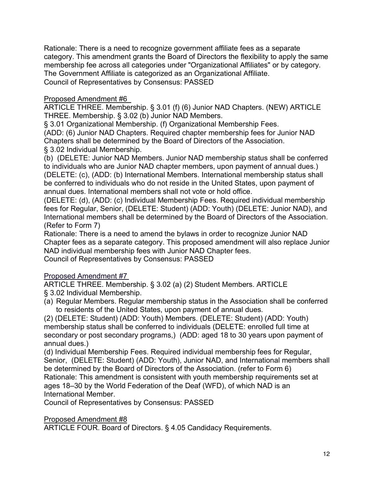Rationale: There is a need to recognize government affiliate fees as a separate category. This amendment grants the Board of Directors the flexibility to apply the same membership fee across all categories under "Organizational Affiliates" or by category. The Government Affiliate is categorized as an Organizational Affiliate. Council of Representatives by Consensus: PASSED

## Proposed Amendment #6

ARTICLE THREE. Membership. § 3.01 (f) (6) Junior NAD Chapters. (NEW) ARTICLE THREE. Membership. § 3.02 (b) Junior NAD Members.

§ 3.01 Organizational Membership. (f) Organizational Membership Fees.

(ADD: (6) Junior NAD Chapters. Required chapter membership fees for Junior NAD Chapters shall be determined by the Board of Directors of the Association. § 3.02 Individual Membership.

(b) (DELETE: Junior NAD Members. Junior NAD membership status shall be conferred to individuals who are Junior NAD chapter members, upon payment of annual dues.) (DELETE: (c), (ADD: (b) International Members. International membership status shall be conferred to individuals who do not reside in the United States, upon payment of annual dues. International members shall not vote or hold office.

(DELETE: (d), (ADD: (c) Individual Membership Fees. Required individual membership fees for Regular, Senior, (DELETE: Student) (ADD: Youth) (DELETE: Junior NAD), and International members shall be determined by the Board of Directors of the Association. (Refer to Form 7)

Rationale: There is a need to amend the bylaws in order to recognize Junior NAD Chapter fees as a separate category. This proposed amendment will also replace Junior NAD individual membership fees with Junior NAD Chapter fees. Council of Representatives by Consensus: PASSED

Proposed Amendment #7

ARTICLE THREE. Membership. § 3.02 (a) (2) Student Members. ARTICLE

§ 3.02 Individual Membership.

(a) Regular Members. Regular membership status in the Association shall be conferred to residents of the United States, upon payment of annual dues.

(2) (DELETE: Student) (ADD: Youth) Members. (DELETE: Student) (ADD: Youth) membership status shall be conferred to individuals (DELETE: enrolled full time at secondary or post secondary programs,) (ADD: aged 18 to 30 years upon payment of annual dues.)

(d) Individual Membership Fees. Required individual membership fees for Regular, Senior, (DELETE: Student) (ADD: Youth), Junior NAD, and International members shall be determined by the Board of Directors of the Association. (refer to Form 6) Rationale: This amendment is consistent with youth membership requirements set at ages 18–30 by the World Federation of the Deaf (WFD), of which NAD is an International Member.

Council of Representatives by Consensus: PASSED

Proposed Amendment #8

ARTICLE FOUR. Board of Directors. § 4.05 Candidacy Requirements.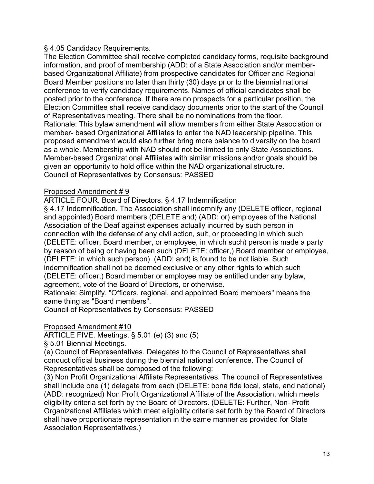### § 4.05 Candidacy Requirements.

The Election Committee shall receive completed candidacy forms, requisite background information, and proof of membership (ADD: of a State Association and/or memberbased Organizational Affiliate) from prospective candidates for Officer and Regional Board Member positions no later than thirty (30) days prior to the biennial national conference to verify candidacy requirements. Names of official candidates shall be posted prior to the conference. If there are no prospects for a particular position, the Election Committee shall receive candidacy documents prior to the start of the Council of Representatives meeting. There shall be no nominations from the floor. Rationale: This bylaw amendment will allow members from either State Association or member- based Organizational Affiliates to enter the NAD leadership pipeline. This proposed amendment would also further bring more balance to diversity on the board as a whole. Membership with NAD should not be limited to only State Associations. Member-based Organizational Affiliates with similar missions and/or goals should be given an opportunity to hold office within the NAD organizational structure. Council of Representatives by Consensus: PASSED

## Proposed Amendment # 9

ARTICLE FOUR. Board of Directors. § 4.17 Indemnification

§ 4.17 Indemnification. The Association shall indemnify any (DELETE officer, regional and appointed) Board members (DELETE and) (ADD: or) employees of the National Association of the Deaf against expenses actually incurred by such person in connection with the defense of any civil action, suit, or proceeding in which such (DELETE: officer, Board member, or employee, in which such) person is made a party by reason of being or having been such (DELETE: officer,) Board member or employee, (DELETE: in which such person) (ADD: and) is found to be not liable. Such indemnification shall not be deemed exclusive or any other rights to which such (DELETE: officer,) Board member or employee may be entitled under any bylaw, agreement, vote of the Board of Directors, or otherwise.

Rationale: Simplify. "Officers, regional, and appointed Board members" means the same thing as "Board members".

Council of Representatives by Consensus: PASSED

#### Proposed Amendment #10

ARTICLE FIVE. Meetings. § 5.01 (e) (3) and (5)

§ 5.01 Biennial Meetings.

(e) Council of Representatives. Delegates to the Council of Representatives shall conduct official business during the biennial national conference. The Council of Representatives shall be composed of the following:

(3) Non Profit Organizational Affiliate Representatives. The council of Representatives shall include one (1) delegate from each (DELETE: bona fide local, state, and national) (ADD: recognized) Non Profit Organizational Affiliate of the Association, which meets eligibility criteria set forth by the Board of Directors. (DELETE: Further, Non- Profit Organizational Affiliates which meet eligibility criteria set forth by the Board of Directors shall have proportionate representation in the same manner as provided for State Association Representatives.)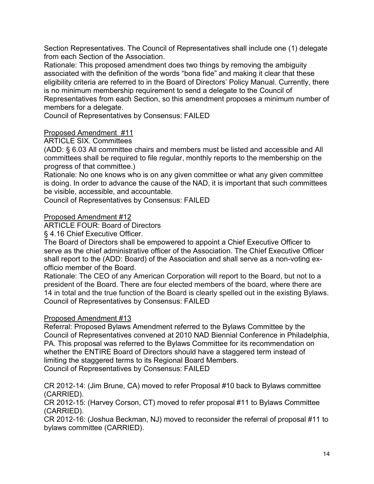Section Representatives. The Council of Representatives shall include one (1) delegate from each Section of the Association.

Rationale: This proposed amendment does two things by removing the ambiguity associated with the definition of the words "bona fide" and making it clear that these eligibility criteria are referred to in the Board of Directors' Policy Manual. Currently, there is no minimum membership requirement to send a delegate to the Council of Representatives from each Section, so this amendment proposes a minimum number of members for a delegate.

Council of Representatives by Consensus: FAILED

## Proposed Amendment #11

ARTICLE SIX. Committees

(ADD: § 6.03 All committee chairs and members must be listed and accessible and All committees shall be required to file regular, monthly reports to the membership on the progress of that committee.)

Rationale: No one knows who is on any given committee or what any given committee is doing. In order to advance the cause of the NAD, it is important that such committees be visible, accessible, and accountable.

Council of Representatives by Consensus: FAILED

#### Proposed Amendment #12

ARTICLE FOUR: Board of Directors

§ 4.16 Chief Executive Officer.

The Board of Directors shall be empowered to appoint a Chief Executive Officer to serve as the chief administrative officer of the Association. The Chief Executive Officer shall report to the (ADD: Board) of the Association and shall serve as a non-voting exofficio member of the Board.

Rationale: The CEO of any American Corporation will report to the Board, but not to a president of the Board. There are four elected members of the board, where there are 14 in total and the true function of the Board is clearly spelled out in the existing Bylaws. Council of Representatives by Consensus: FAILED

#### Proposed Amendment #13

Referral: Proposed Bylaws Amendment referred to the Bylaws Committee by the Council of Representatives convened at 2010 NAD Biennial Conference in Philadelphia, PA. This proposal was referred to the Bylaws Committee for its recommendation on whether the ENTIRE Board of Directors should have a staggered term instead of limiting the staggered terms to its Regional Board Members. Council of Representatives by Consensus: FAILED

CR 2012-14: (Jim Brune, CA) moved to refer Proposal #10 back to Bylaws committee (CARRIED).

CR 2012-15: (Harvey Corson, CT) moved to refer proposal #11 to Bylaws Committee (CARRIED).

CR 2012-16: (Joshua Beckman, NJ) moved to reconsider the referral of proposal #11 to bylaws committee (CARRIED).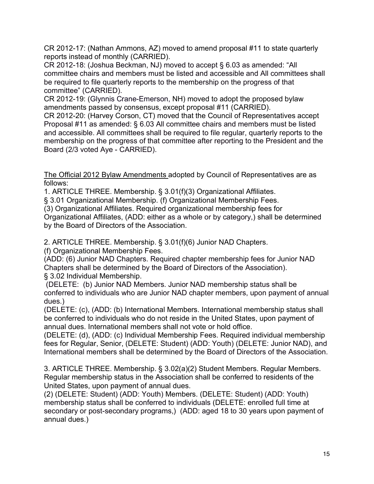CR 2012-17: (Nathan Ammons, AZ) moved to amend proposal #11 to state quarterly reports instead of monthly (CARRIED).

CR 2012-18: (Joshua Beckman, NJ) moved to accept § 6.03 as amended: "All committee chairs and members must be listed and accessible and All committees shall be required to file quarterly reports to the membership on the progress of that committee" (CARRIED).

CR 2012-19: (Glynnis Crane-Emerson, NH) moved to adopt the proposed bylaw amendments passed by consensus, except proposal #11 (CARRIED).

CR 2012-20: (Harvey Corson, CT) moved that the Council of Representatives accept Proposal #11 as amended: § 6.03 All committee chairs and members must be listed and accessible. All committees shall be required to file regular, quarterly reports to the membership on the progress of that committee after reporting to the President and the Board (2/3 voted Aye - CARRIED).

The Official 2012 Bylaw Amendments adopted by Council of Representatives are as follows:

1. ARTICLE THREE. Membership. § 3.01(f)(3) Organizational Affiliates.

§ 3.01 Organizational Membership. (f) Organizational Membership Fees.

(3) Organizational Affiliates. Required organizational membership fees for

Organizational Affiliates, (ADD: either as a whole or by category,) shall be determined by the Board of Directors of the Association.

2. ARTICLE THREE. Membership. § 3.01(f)(6) Junior NAD Chapters.

(f) Organizational Membership Fees.

(ADD: (6) Junior NAD Chapters. Required chapter membership fees for Junior NAD Chapters shall be determined by the Board of Directors of the Association). § 3.02 Individual Membership.

(DELETE: (b) Junior NAD Members. Junior NAD membership status shall be conferred to individuals who are Junior NAD chapter members, upon payment of annual dues.)

(DELETE: (c), (ADD: (b) International Members. International membership status shall be conferred to individuals who do not reside in the United States, upon payment of annual dues. International members shall not vote or hold office.

(DELETE: (d), (ADD: (c) Individual Membership Fees. Required individual membership fees for Regular, Senior, (DELETE: Student) (ADD: Youth) (DELETE: Junior NAD), and International members shall be determined by the Board of Directors of the Association.

3. ARTICLE THREE. Membership. § 3.02(a)(2) Student Members. Regular Members. Regular membership status in the Association shall be conferred to residents of the United States, upon payment of annual dues.

(2) (DELETE: Student) (ADD: Youth) Members. (DELETE: Student) (ADD: Youth) membership status shall be conferred to individuals (DELETE: enrolled full time at secondary or post-secondary programs,) (ADD: aged 18 to 30 years upon payment of annual dues.)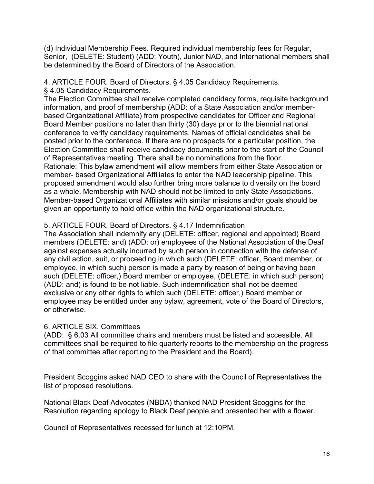(d) Individual Membership Fees. Required individual membership fees for Regular, Senior, (DELETE: Student) (ADD: Youth), Junior NAD, and International members shall be determined by the Board of Directors of the Association.

4. ARTICLE FOUR. Board of Directors. § 4.05 Candidacy Requirements.

§ 4.05 Candidacy Requirements.

The Election Committee shall receive completed candidacy forms, requisite background information, and proof of membership (ADD: of a State Association and/or memberbased Organizational Affiliate) from prospective candidates for Officer and Regional Board Member positions no later than thirty (30) days prior to the biennial national conference to verify candidacy requirements. Names of official candidates shall be posted prior to the conference. If there are no prospects for a particular position, the Election Committee shall receive candidacy documents prior to the start of the Council of Representatives meeting. There shall be no nominations from the floor. Rationale: This bylaw amendment will allow members from either State Association or member- based Organizational Affiliates to enter the NAD leadership pipeline. This proposed amendment would also further bring more balance to diversity on the board as a whole. Membership with NAD should not be limited to only State Associations. Member-based Organizational Affiliates with similar missions and/or goals should be given an opportunity to hold office within the NAD organizational structure.

# 5. ARTICLE FOUR. Board of Directors. § 4.17 Indemnification

The Association shall indemnify any (DELETE: officer, regional and appointed) Board members (DELETE: and) (ADD: or) employees of the National Association of the Deaf against expenses actually incurred by such person in connection with the defense of any civil action, suit, or proceeding in which such (DELETE: officer, Board member, or employee, in which such) person is made a party by reason of being or having been such (DELETE: officer,) Board member or employee, (DELETE: in which such person) (ADD: and) is found to be not liable. Such indemnification shall not be deemed exclusive or any other rights to which such (DELETE: officer,) Board member or employee may be entitled under any bylaw, agreement, vote of the Board of Directors, or otherwise.

# 6. ARTICLE SIX. Committees

(ADD: § 6.03 All committee chairs and members must be listed and accessible. All committees shall be required to file quarterly reports to the membership on the progress of that committee after reporting to the President and the Board).

President Scoggins asked NAD CEO to share with the Council of Representatives the list of proposed resolutions.

National Black Deaf Advocates (NBDA) thanked NAD President Scoggins for the Resolution regarding apology to Black Deaf people and presented her with a flower.

Council of Representatives recessed for lunch at 12:10PM.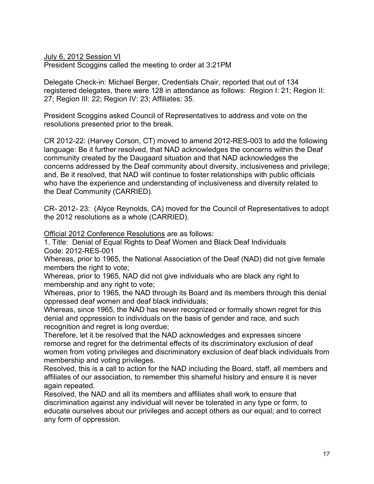July 6, 2012 Session VI

President Scoggins called the meeting to order at 3:21PM

Delegate Check-in: Michael Berger, Credentials Chair, reported that out of 134 registered delegates, there were 128 in attendance as follows: Region I: 21; Region II: 27; Region III: 22; Region IV: 23; Affiliates: 35.

President Scoggins asked Council of Representatives to address and vote on the resolutions presented prior to the break.

CR 2012-22: (Harvey Corson, CT) moved to amend 2012-RES-003 to add the following language: Be it further resolved, that NAD acknowledges the concerns within the Deaf community created by the Daugaard situation and that NAD acknowledges the concerns addressed by the Deaf community about diversity, inclusiveness and privilege; and, Be it resolved, that NAD will continue to foster relationships with public officials who have the experience and understanding of inclusiveness and diversity related to the Deaf Community (CARRIED).

CR- 2012- 23: (Alyce Reynolds, CA) moved for the Council of Representatives to adopt the 2012 resolutions as a whole (CARRIED).

Official 2012 Conference Resolutions are as follows:

1. Title: Denial of Equal Rights to Deaf Women and Black Deaf Individuals Code: 2012-RES-001

Whereas, prior to 1965, the National Association of the Deaf (NAD) did not give female members the right to vote;

Whereas, prior to 1965, NAD did not give individuals who are black any right to membership and any right to vote;

Whereas, prior to 1965, the NAD through its Board and its members through this denial oppressed deaf women and deaf black individuals;

Whereas, since 1965, the NAD has never recognized or formally shown regret for this denial and oppression to individuals on the basis of gender and race, and such recognition and regret is long overdue;

Therefore, let it be resolved that the NAD acknowledges and expresses sincere remorse and regret for the detrimental effects of its discriminatory exclusion of deaf women from voting privileges and discriminatory exclusion of deaf black individuals from membership and voting privileges.

Resolved, this is a call to action for the NAD including the Board, staff, all members and affiliates of our association, to remember this shameful history and ensure it is never again repeated.

Resolved, the NAD and all its members and affiliates shall work to ensure that discrimination against any individual will never be tolerated in any type or form, to educate ourselves about our privileges and accept others as our equal; and to correct any form of oppression.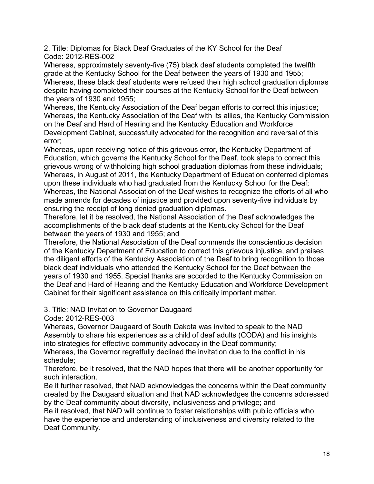2. Title: Diplomas for Black Deaf Graduates of the KY School for the Deaf Code: 2012-RES-002

Whereas, approximately seventy-five (75) black deaf students completed the twelfth grade at the Kentucky School for the Deaf between the years of 1930 and 1955; Whereas, these black deaf students were refused their high school graduation diplomas despite having completed their courses at the Kentucky School for the Deaf between the years of 1930 and 1955;

Whereas, the Kentucky Association of the Deaf began efforts to correct this injustice; Whereas, the Kentucky Association of the Deaf with its allies, the Kentucky Commission on the Deaf and Hard of Hearing and the Kentucky Education and Workforce Development Cabinet, successfully advocated for the recognition and reversal of this error;

Whereas, upon receiving notice of this grievous error, the Kentucky Department of Education, which governs the Kentucky School for the Deaf, took steps to correct this grievous wrong of withholding high school graduation diplomas from these individuals; Whereas, in August of 2011, the Kentucky Department of Education conferred diplomas upon these individuals who had graduated from the Kentucky School for the Deaf; Whereas, the National Association of the Deaf wishes to recognize the efforts of all who made amends for decades of injustice and provided upon seventy-five individuals by ensuring the receipt of long denied graduation diplomas.

Therefore, let it be resolved, the National Association of the Deaf acknowledges the accomplishments of the black deaf students at the Kentucky School for the Deaf between the years of 1930 and 1955; and

Therefore, the National Association of the Deaf commends the conscientious decision of the Kentucky Department of Education to correct this grievous injustice, and praises the diligent efforts of the Kentucky Association of the Deaf to bring recognition to those black deaf individuals who attended the Kentucky School for the Deaf between the years of 1930 and 1955. Special thanks are accorded to the Kentucky Commission on the Deaf and Hard of Hearing and the Kentucky Education and Workforce Development Cabinet for their significant assistance on this critically important matter.

# 3. Title: NAD Invitation to Governor Daugaard

Code: 2012-RES-003

Whereas, Governor Daugaard of South Dakota was invited to speak to the NAD Assembly to share his experiences as a child of deaf adults (CODA) and his insights into strategies for effective community advocacy in the Deaf community;

Whereas, the Governor regretfully declined the invitation due to the conflict in his schedule;

Therefore, be it resolved, that the NAD hopes that there will be another opportunity for such interaction.

Be it further resolved, that NAD acknowledges the concerns within the Deaf community created by the Daugaard situation and that NAD acknowledges the concerns addressed by the Deaf community about diversity, inclusiveness and privilege; and

Be it resolved, that NAD will continue to foster relationships with public officials who have the experience and understanding of inclusiveness and diversity related to the Deaf Community.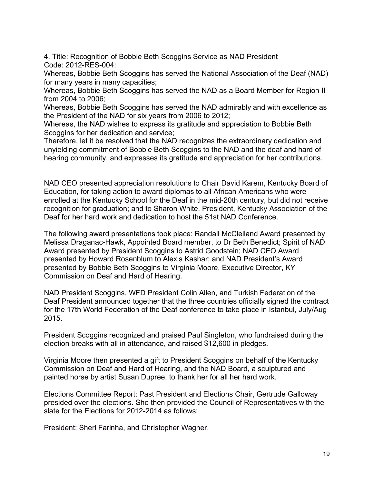4. Title: Recognition of Bobbie Beth Scoggins Service as NAD President Code: 2012-RES-004:

Whereas, Bobbie Beth Scoggins has served the National Association of the Deaf (NAD) for many years in many capacities;

Whereas, Bobbie Beth Scoggins has served the NAD as a Board Member for Region II from 2004 to 2006;

Whereas, Bobbie Beth Scoggins has served the NAD admirably and with excellence as the President of the NAD for six years from 2006 to 2012;

Whereas, the NAD wishes to express its gratitude and appreciation to Bobbie Beth Scoggins for her dedication and service;

Therefore, let it be resolved that the NAD recognizes the extraordinary dedication and unyielding commitment of Bobbie Beth Scoggins to the NAD and the deaf and hard of hearing community, and expresses its gratitude and appreciation for her contributions.

NAD CEO presented appreciation resolutions to Chair David Karem, Kentucky Board of Education, for taking action to award diplomas to all African Americans who were enrolled at the Kentucky School for the Deaf in the mid-20th century, but did not receive recognition for graduation; and to Sharon White, President, Kentucky Association of the Deaf for her hard work and dedication to host the 51st NAD Conference.

The following award presentations took place: Randall McClelland Award presented by Melissa Draganac-Hawk, Appointed Board member, to Dr Beth Benedict; Spirit of NAD Award presented by President Scoggins to Astrid Goodstein; NAD CEO Award presented by Howard Rosenblum to Alexis Kashar; and NAD President's Award presented by Bobbie Beth Scoggins to Virginia Moore, Executive Director, KY Commission on Deaf and Hard of Hearing.

NAD President Scoggins, WFD President Colin Allen, and Turkish Federation of the Deaf President announced together that the three countries officially signed the contract for the 17th World Federation of the Deaf conference to take place in Istanbul, July/Aug 2015.

President Scoggins recognized and praised Paul Singleton, who fundraised during the election breaks with all in attendance, and raised \$12,600 in pledges.

Virginia Moore then presented a gift to President Scoggins on behalf of the Kentucky Commission on Deaf and Hard of Hearing, and the NAD Board, a sculptured and painted horse by artist Susan Dupree, to thank her for all her hard work.

Elections Committee Report: Past President and Elections Chair, Gertrude Galloway presided over the elections. She then provided the Council of Representatives with the slate for the Elections for 2012-2014 as follows:

President: Sheri Farinha, and Christopher Wagner.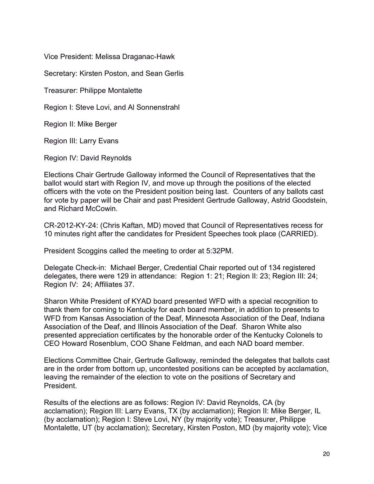Vice President: Melissa Draganac-Hawk

Secretary: Kirsten Poston, and Sean Gerlis

Treasurer: Philippe Montalette

Region I: Steve Lovi, and Al Sonnenstrahl

Region II: Mike Berger

Region III: Larry Evans

Region IV: David Reynolds

Elections Chair Gertrude Galloway informed the Council of Representatives that the ballot would start with Region IV, and move up through the positions of the elected officers with the vote on the President position being last. Counters of any ballots cast for vote by paper will be Chair and past President Gertrude Galloway, Astrid Goodstein, and Richard McCowin.

CR-2012-KY-24: (Chris Kaftan, MD) moved that Council of Representatives recess for 10 minutes right after the candidates for President Speeches took place (CARRIED).

President Scoggins called the meeting to order at 5:32PM.

Delegate Check-in: Michael Berger, Credential Chair reported out of 134 registered delegates, there were 129 in attendance: Region 1: 21; Region II: 23; Region III: 24; Region IV: 24; Affiliates 37.

Sharon White President of KYAD board presented WFD with a special recognition to thank them for coming to Kentucky for each board member, in addition to presents to WFD from Kansas Association of the Deaf, Minnesota Association of the Deaf, Indiana Association of the Deaf, and Illinois Association of the Deaf. Sharon White also presented appreciation certificates by the honorable order of the Kentucky Colonels to CEO Howard Rosenblum, COO Shane Feldman, and each NAD board member.

Elections Committee Chair, Gertrude Galloway, reminded the delegates that ballots cast are in the order from bottom up, uncontested positions can be accepted by acclamation, leaving the remainder of the election to vote on the positions of Secretary and President.

Results of the elections are as follows: Region IV: David Reynolds, CA (by acclamation); Region III: Larry Evans, TX (by acclamation); Region II: Mike Berger, IL (by acclamation); Region I: Steve Lovi, NY (by majority vote); Treasurer, Philippe Montalette, UT (by acclamation); Secretary, Kirsten Poston, MD (by majority vote); Vice